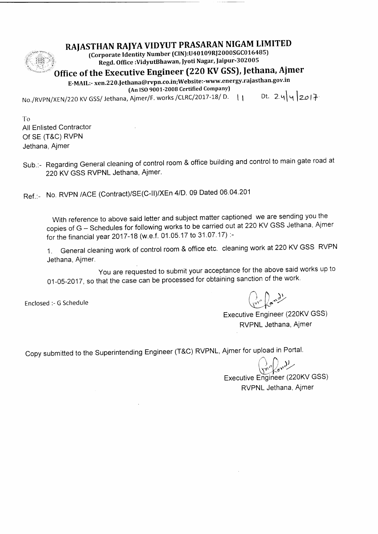## RAJASTHAN RAIYA VIDYUT PRASARAN NIGAM LIMITED (Corporate Identity Number (CIN):U40109RJ2000SGC016485)<br>Regd. Office :VidyutBhawan, Jyoti Nagar, Jaipur-302005

 $f$  iii ':'i

# Office of the Executive Engineer (220 KV GSS), Jethana, Ajmer

E-MAIL:- xen.220.Jethana@rvpn.co.in;Website:-www.energy.rajasthan.gov.in (An ISO 9001-2008 Certified Company)

No./RVPN/XEN/220 KV GSS/ Jethana, Ajmer/F. works /CLRC/2017-18/ D.  $\left| \begin{array}{cc} 1 & \text{Dt.} & 2 & 4 \end{array} \right|$   $\vee$  2017.

T<sub>o</sub> All Enlisted Contractor of sE (T&C) RVPN Jethana, Ajmer

sub.:- Regarding General cleaning of control room & office building and control to main gate road at 220 KV GSS RVPNL Jethana, Ajmer.

Ref.:- No. RVPN /ACE (Contract)/SE(C-II)/XEn 4/D. 09 Dated 06.04.201

With reference to above said letter and subject matter captioned we are sending you the copies of G - Schedules for following works to be carried out at 220 KV GSS Jethana, Ajmer for the financial year 2017-18 (w.e.f. 01.05.17 to 31.07.17) :-

1 . General cleaning work of control room & office etc. cleaning work at 220 KV GSS RVPN Jethana, Ajmer.

you are requested to submit your acceptance for the above said works up to 01-05-2017, so that the case can be processed for obtaining sanction of the work.

Enclosed :- G Schedule

 $\binom{n}{k}$   $\binom{n-k}{k}$ 

Executive Engineer (220KV GSS) RVPNL Jethana, Ajmer

Copy submitted to the Superintending Engineer (T&C) RVPNL, Ajmer for upload in Portal.

Executive Engineer (220KV GSS) RVPNL Jethana, Ajmer